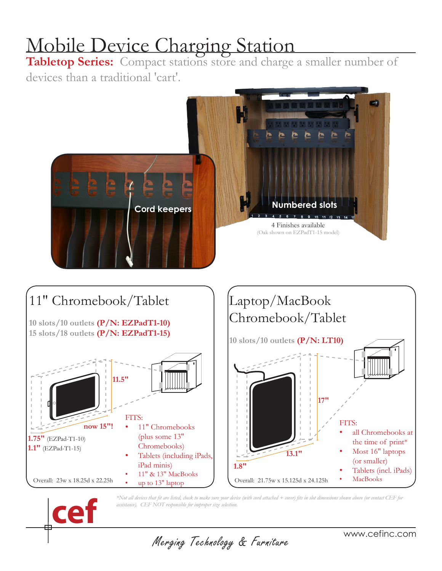# Mobile Device Charging Station

**Tabletop Series:** Compact stations store and charge a smaller number of devices than a traditional 'cart'.







*\*Not all devices that fit are listed, check to make sure your device (with cord attached + cover) fits in slot dimensions shown above (or contact CEF for assistance). CEF NOT responsible for improper size selection.*

Merging Technology & Furniture

www.cefinc.com